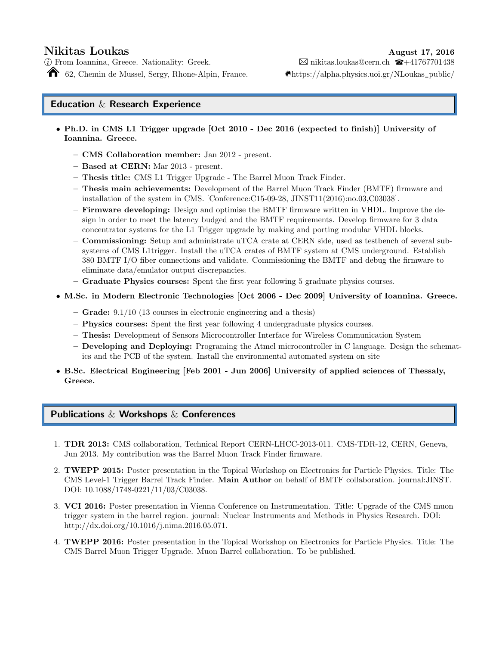$\circled{i}$  From Ioannina, Greece. Nationality: Greek. <br>  $\circled{i}$  for  $\circled{ii}$  for  $\circled{ii}$  france.<br>  $\circled{ii}$  for  $\circled{ii}$  for  $\circled{ii}$  for  $\circled{ii}$  for  $\circled{ii}$  for  $\circled{ii}$  for  $\circled{ii}$  for  $\circled{ii}$  for  $\circled{ii}$  for  $\circled{ii$  $\bigotimes$  62, Chemin de Mussel, Sergy, Rhone-Alpin, France.

# Education & Research Experience

- Ph.D. in CMS L1 Trigger upgrade [Oct 2010 Dec 2016 (expected to finish)] University of Ioannina. Greece.
	- CMS Collaboration member: Jan 2012 present.
	- Based at CERN: Mar 2013 present.
	- Thesis title: CMS L1 Trigger Upgrade The Barrel Muon Track Finder.
	- Thesis main achievements: Development of the Barrel Muon Track Finder (BMTF) firmware and installation of the system in CMS. [Conference:C15-09-28, JINST11(2016):no.03,C03038].
	- Firmware developing: Design and optimise the BMTF firmware written in VHDL. Improve the design in order to meet the latency budged and the BMTF requirements. Develop firmware for 3 data concentrator systems for the L1 Trigger upgrade by making and porting modular VHDL blocks.
	- Commissioning: Setup and administrate uTCA crate at CERN side, used as testbench of several subsystems of CMS L1trigger. Install the uTCA crates of BMTF system at CMS underground. Establish 380 BMTF I/O fiber connections and validate. Commissioning the BMTF and debug the firmware to eliminate data/emulator output discrepancies.
	- Graduate Physics courses: Spent the first year following 5 graduate physics courses.
- M.Sc. in Modern Electronic Technologies [Oct 2006 Dec 2009] University of Ioannina. Greece.
	- $-$  Grade: 9.1/10 (13 courses in electronic engineering and a thesis)
	- Physics courses: Spent the first year following 4 undergraduate physics courses.
	- Thesis: Development of Sensors Microcontroller Interface for Wireless Communication System
	- Developing and Deploying: Programing the Atmel microcontroller in C language. Design the schematics and the PCB of the system. Install the environmental automated system on site
- B.Sc. Electrical Engineering [Feb 2001 Jun 2006] University of applied sciences of Thessaly, Greece.

## Publications & Workshops & Conferences

- 1. TDR 2013: CMS collaboration, Technical Report CERN-LHCC-2013-011. CMS-TDR-12, CERN, Geneva, Jun 2013. My contribution was the Barrel Muon Track Finder firmware.
- 2. TWEPP 2015: Poster presentation in the Topical Workshop on Electronics for Particle Physics. Title: The CMS Level-1 Trigger Barrel Track Finder. Main Author on behalf of BMTF collaboration. journal:JINST. DOI: 10.1088/1748-0221/11/03/C03038.
- 3. VCI 2016: Poster presentation in Vienna Conference on Instrumentation. Title: Upgrade of the CMS muon trigger system in the barrel region. journal: Nuclear Instruments and Methods in Physics Research. DOI: http://dx.doi.org/10.1016/j.nima.2016.05.071.
- 4. TWEPP 2016: Poster presentation in the Topical Workshop on Electronics for Particle Physics. Title: The CMS Barrel Muon Trigger Upgrade. Muon Barrel collaboration. To be published.